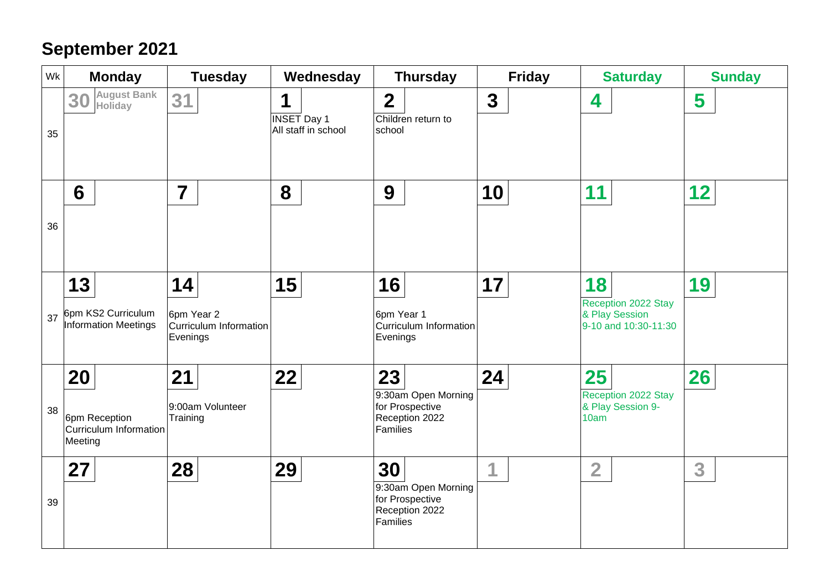## **September 2021**

| Wk | <b>Monday</b>                                            | <b>Tuesday</b>                                         | Wednesday                                      | <b>Thursday</b>                                                            | <b>Friday</b> | <b>Saturday</b>                                                     | <b>Sunday</b> |
|----|----------------------------------------------------------|--------------------------------------------------------|------------------------------------------------|----------------------------------------------------------------------------|---------------|---------------------------------------------------------------------|---------------|
| 35 | <b>August Bank</b><br>30<br>Holiday                      | 31                                                     | 1<br><b>INSET Day 1</b><br>All staff in school | $\overline{2}$<br>Children return to<br>school                             | $\mathbf 3$   | 4                                                                   | 5             |
| 36 | 6                                                        | $\overline{7}$                                         | 8                                              | 9                                                                          | 10            | 11                                                                  | 12            |
| 37 | 13<br>6pm KS2 Curriculum<br><b>Information Meetings</b>  | 14<br>6pm Year 2<br>Curriculum Information<br>Evenings | 15                                             | 16<br>6pm Year 1<br>Curriculum Information<br>Evenings                     | 17            | 18<br>Reception 2022 Stay<br>& Play Session<br>9-10 and 10:30-11:30 | 19            |
| 38 | 20<br>6pm Reception<br>Curriculum Information<br>Meeting | 21<br>9:00am Volunteer<br>Training                     | 22                                             | 23<br>9:30am Open Morning<br>for Prospective<br>Reception 2022<br>Families | 24            | 25<br>Reception 2022 Stay<br>& Play Session 9-<br>10am              | 26            |
| 39 | 27                                                       | 28                                                     | 29                                             | 30<br>9:30am Open Morning<br>for Prospective<br>Reception 2022<br>Families | и             | $\overline{2}$                                                      | 3             |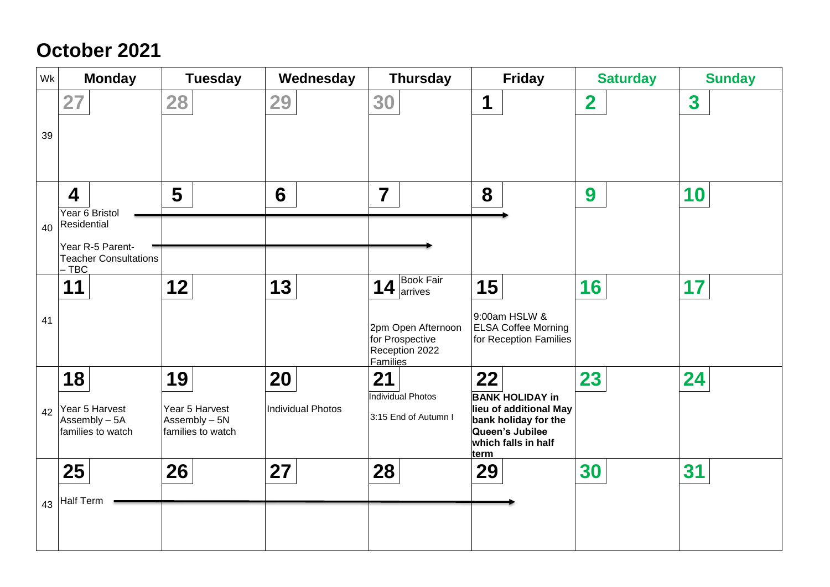# **October 2021**

| Wk | <b>Monday</b>                                                     | <b>Tuesday</b>                                       | Wednesday         | <b>Thursday</b>                                                            | <b>Friday</b>                                                                                                                     | <b>Saturday</b>         | <b>Sunday</b>           |
|----|-------------------------------------------------------------------|------------------------------------------------------|-------------------|----------------------------------------------------------------------------|-----------------------------------------------------------------------------------------------------------------------------------|-------------------------|-------------------------|
| 39 | 27                                                                | 28                                                   | 29                | 30                                                                         | 1                                                                                                                                 | $\overline{\mathbf{2}}$ | $\overline{\mathbf{3}}$ |
| 40 | 4<br>Year 6 Bristol<br>Residential                                | 5                                                    | 6                 | $\overline{\mathbf{7}}$                                                    | 8                                                                                                                                 | 9                       | 10                      |
|    | Year R-5 Parent-<br><b>Teacher Consultations</b><br>$-$ TBC<br>11 | 12                                                   | 13                | <b>Book Fair</b><br>$14$ $\frac{p_{\text{max}}}{p_{\text{arives}}}$        | 15                                                                                                                                | 16                      | 17                      |
| 41 |                                                                   |                                                      |                   | 2pm Open Afternoon<br>for Prospective<br>Reception 2022<br><b>Families</b> | 9:00am HSLW &<br><b>ELSA Coffee Morning</b><br>for Reception Families                                                             |                         |                         |
|    | 18                                                                | 19                                                   | 20                | 21                                                                         | 22                                                                                                                                | 23                      | 24                      |
| 42 | Year 5 Harvest<br>Assembly - 5A<br>families to watch              | Year 5 Harvest<br>Assembly - 5N<br>families to watch | Individual Photos | Individual Photos<br>3:15 End of Autumn I                                  | <b>BANK HOLIDAY in</b><br>lieu of additional May<br>bank holiday for the<br>Queen's Jubilee<br>which falls in half<br><u>term</u> |                         |                         |
|    | 25                                                                | 26                                                   | 27                | 28                                                                         | 29                                                                                                                                | 30                      | 31                      |
| 43 | <b>Half Term</b>                                                  |                                                      |                   |                                                                            |                                                                                                                                   |                         |                         |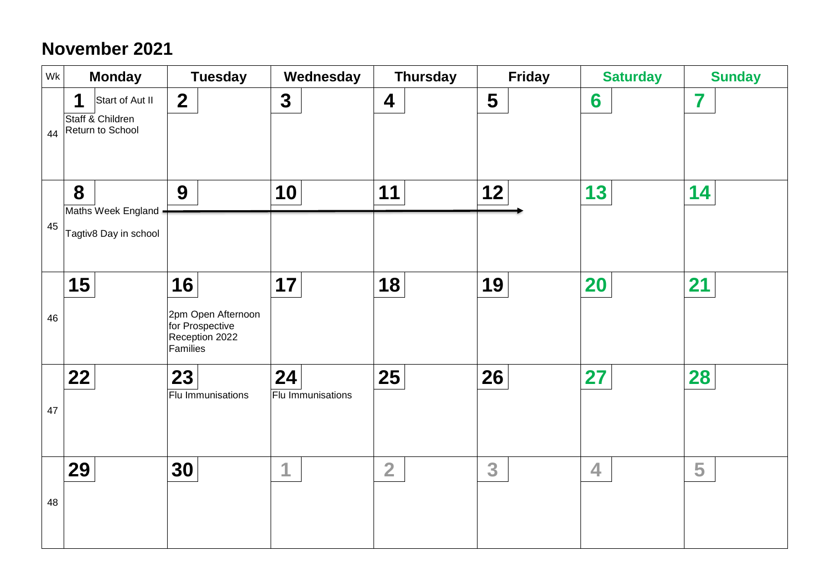### **November 2021**

| Wk | <b>Monday</b>                                                | <b>Tuesday</b>                                                            | Wednesday                      | <b>Thursday</b>  | <b>Friday</b> | <b>Saturday</b> | <b>Sunday</b> |
|----|--------------------------------------------------------------|---------------------------------------------------------------------------|--------------------------------|------------------|---------------|-----------------|---------------|
| 44 | 1<br>Start of Aut II<br>Staff & Children<br>Return to School | $\overline{2}$                                                            | $\mathbf{3}$                   | $\boldsymbol{4}$ | 5             | 6               | 7             |
| 45 | 8<br>Maths Week England -<br>Tagtiv8 Day in school           | 9                                                                         | 10                             | 11               | 12            | 13              | 14            |
| 46 | 15                                                           | 16<br>2pm Open Afternoon<br>for Prospective<br>Reception 2022<br>Families | 17                             | 18               | 19            | <b>20</b>       | 21            |
| 47 | 22                                                           | 23<br>Flu Immunisations                                                   | 24<br><b>Flu Immunisations</b> | 25               | 26            | 27              | 28            |
| 48 | 29                                                           | 30                                                                        | 1                              | $\overline{2}$   | 3             | 4               | 5             |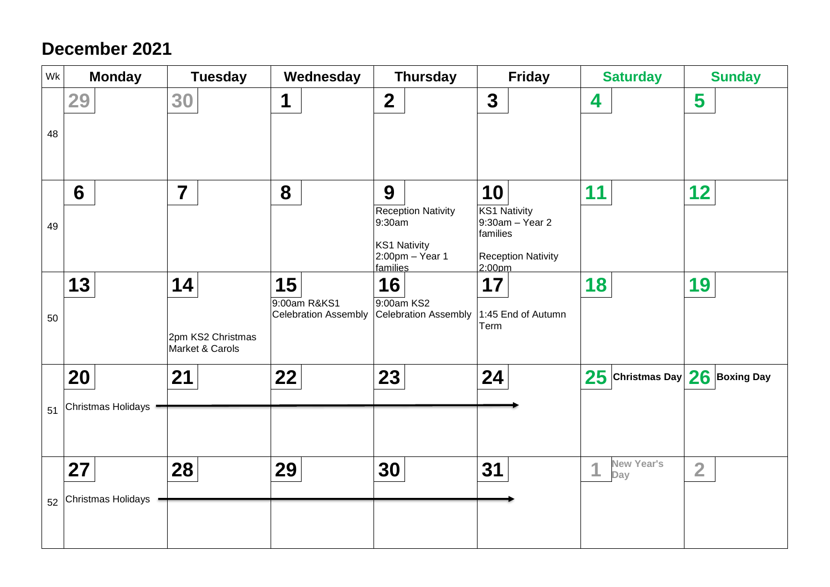#### **December 2021**

| Wk | <b>Monday</b>            | <b>Tuesday</b>                             | Wednesday                                         | <b>Thursday</b>                                                                                     | <b>Friday</b>                                                                                   | <b>Saturday</b>                    | <b>Sunday</b>  |
|----|--------------------------|--------------------------------------------|---------------------------------------------------|-----------------------------------------------------------------------------------------------------|-------------------------------------------------------------------------------------------------|------------------------------------|----------------|
| 48 | 29                       | 30                                         | $\mathbf 1$                                       | $\overline{2}$                                                                                      | $\mathbf{3}$                                                                                    | 4                                  | 5              |
| 49 | 6                        | $\overline{7}$                             | 8                                                 | 9<br><b>Reception Nativity</b><br>9:30am<br><b>KS1 Nativity</b><br>$2:00$ pm $-$ Year 1<br>families | 10<br><b>KS1 Nativity</b><br>9:30am - Year 2<br>families<br><b>Reception Nativity</b><br>2:00pm | 11                                 | 12             |
| 50 | 13                       | 14<br>2pm KS2 Christmas<br>Market & Carols | 15<br>9:00am R&KS1<br><b>Celebration Assembly</b> | 16<br>9:00am KS2<br>Celebration Assembly                                                            | 17<br>1:45 End of Autumn<br>Term                                                                | 18                                 | 19             |
| 51 | 20<br>Christmas Holidays | 21                                         | 22                                                | 23                                                                                                  | 24                                                                                              | $25$ Christmas Day $26$ Boxing Day |                |
| 52 | 27<br>Christmas Holidays | 28                                         | 29                                                | 30                                                                                                  | 31                                                                                              | <b>New Year's</b><br>и<br>Day      | $\overline{2}$ |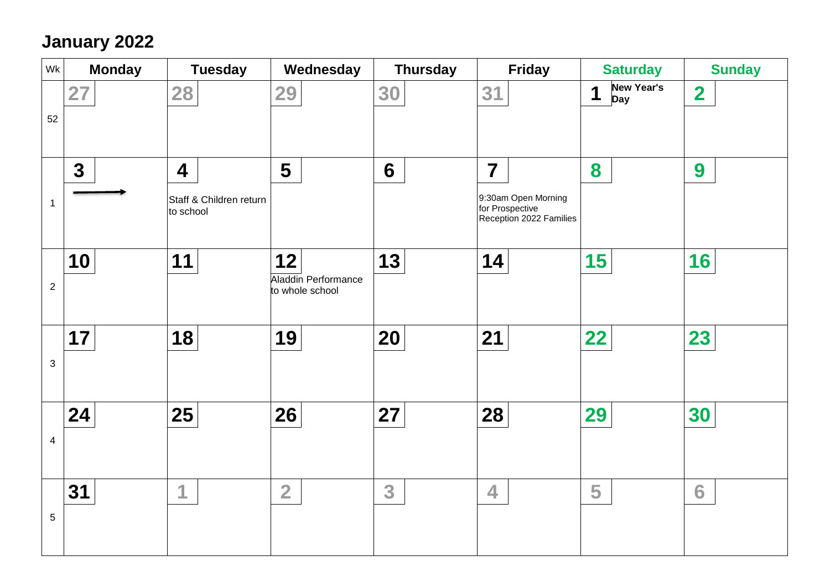### **January 2022**

| Wk             | <b>Monday</b> | <b>Tuesday</b>                                                  | Wednesday                                    | <b>Thursday</b> | <b>Friday</b>                                                                       | <b>Saturday</b>                      | <b>Sunday</b>           |
|----------------|---------------|-----------------------------------------------------------------|----------------------------------------------|-----------------|-------------------------------------------------------------------------------------|--------------------------------------|-------------------------|
| 52             | 27            | 28                                                              | 29                                           | 30              | 31                                                                                  | <b>New Year's</b><br>1<br><b>Day</b> | $\overline{\mathbf{2}}$ |
| $\mathbf 1$    | $\mathbf{3}$  | $\overline{\mathbf{4}}$<br>Staff & Children return<br>to school | 5                                            | $6\phantom{1}6$ | $\overline{7}$<br>9:30am Open Morning<br>for Prospective<br>Reception 2022 Families | 8                                    | 9                       |
| $\overline{2}$ | 10            | 11                                                              | 12<br>Aladdin Performance<br>to whole school | 13              | 14                                                                                  | 15                                   | 16                      |
| $\mathbf{3}$   | 17            | 18                                                              | 19                                           | 20              | 21                                                                                  | 22                                   | 23                      |
| $\overline{4}$ | 24            | 25                                                              | 26                                           | 27              | 28                                                                                  | 29                                   | 30                      |
| 5              | 31            | 4                                                               | $\overline{2}$                               | 3               | 4                                                                                   | 5                                    | 6                       |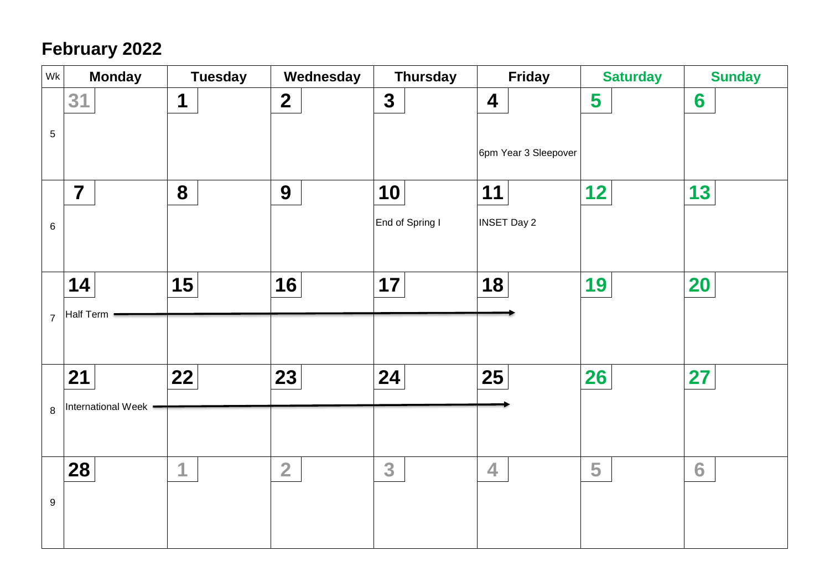## **February 2022**

| Wk             | <b>Monday</b>           | <b>Tuesday</b> | Wednesday               | <b>Thursday</b> | <b>Friday</b>           | <b>Saturday</b> | <b>Sunday</b>   |
|----------------|-------------------------|----------------|-------------------------|-----------------|-------------------------|-----------------|-----------------|
|                | 31                      | 1              | $\overline{\mathbf{2}}$ | $\mathbf{3}$    | $\overline{\mathbf{4}}$ | 5               | $6\phantom{1}6$ |
| 5              |                         |                |                         |                 | 6pm Year 3 Sleepover    |                 |                 |
|                |                         |                |                         |                 |                         |                 |                 |
|                | $\overline{\mathbf{7}}$ | 8              | 9                       | 10              | 11                      | 12              | 13              |
| 6              |                         |                |                         | End of Spring I | <b>INSET Day 2</b>      |                 |                 |
|                |                         |                |                         |                 |                         |                 |                 |
|                | 14                      | 15             | 16                      | 17              | 18                      | 19              | <b>20</b>       |
| $\overline{7}$ | Half Term               |                |                         |                 |                         |                 |                 |
|                |                         |                |                         |                 |                         |                 |                 |
|                | 21                      | 22             | 23                      | 24              | 25                      | <b>26</b>       | 27              |
| 8              | International Week -    |                |                         |                 |                         |                 |                 |
|                |                         |                |                         |                 |                         |                 |                 |
|                | 28                      | 1              | $\overline{2}$          | 3               | $\overline{\mathbf{4}}$ | 5               | 6               |
| 9              |                         |                |                         |                 |                         |                 |                 |
|                |                         |                |                         |                 |                         |                 |                 |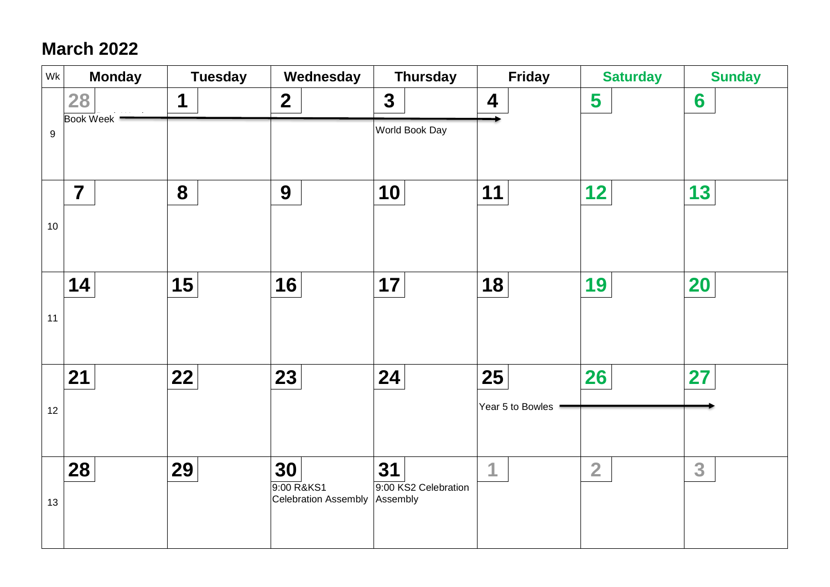### **March 2022**

| Wk               | <b>Monday</b>          | <b>Tuesday</b> | Wednesday                          | <b>Thursday</b>                  | <b>Friday</b>           | <b>Saturday</b> | <b>Sunday</b> |
|------------------|------------------------|----------------|------------------------------------|----------------------------------|-------------------------|-----------------|---------------|
|                  | 28<br><b>Book Week</b> | 1              | $\overline{2}$                     | $\mathbf{3}$                     | $\overline{\mathbf{4}}$ | 5               | 6             |
| $\boldsymbol{9}$ |                        |                |                                    | World Book Day                   |                         |                 |               |
|                  |                        |                |                                    |                                  |                         |                 |               |
|                  | $\overline{7}$         | 8              | 9                                  | 10                               | 11                      | 12              | 13            |
| 10               |                        |                |                                    |                                  |                         |                 |               |
|                  |                        |                |                                    |                                  |                         |                 |               |
|                  | 14                     | 15             | 16                                 | 17                               | 18                      | 19              | <b>20</b>     |
| 11               |                        |                |                                    |                                  |                         |                 |               |
|                  |                        |                |                                    |                                  |                         |                 |               |
|                  | 21                     | 22             | 23                                 | 24                               | 25                      | <b>26</b>       | 27            |
| 12               |                        |                |                                    |                                  | Year 5 to Bowles        |                 |               |
|                  |                        |                |                                    |                                  |                         |                 |               |
|                  | 28                     | 29             | 30                                 | 31                               | 1                       | $\overline{2}$  | 3             |
|                  |                        |                | 9:00 R&KS1<br>Celebration Assembly | 9:00 KS2 Celebration<br>Assembly |                         |                 |               |
| 13               |                        |                |                                    |                                  |                         |                 |               |
|                  |                        |                |                                    |                                  |                         |                 |               |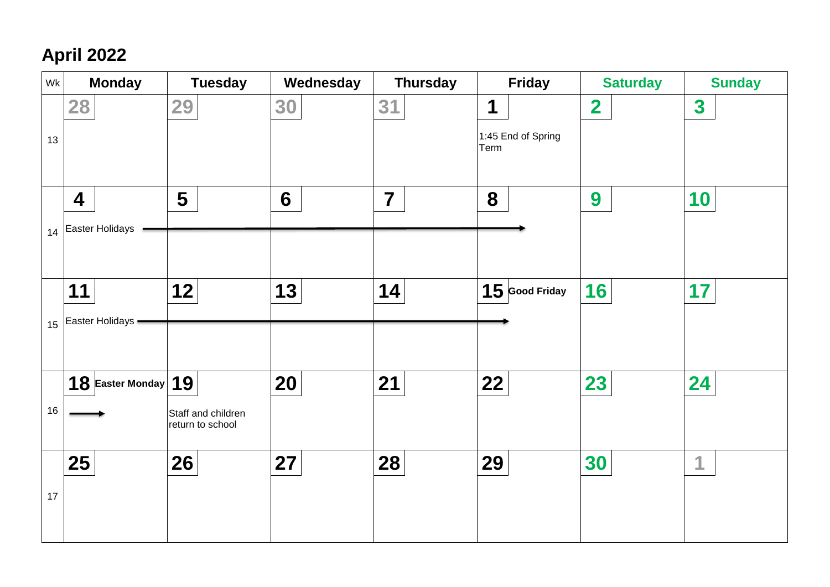# **April 2022**

| Wk | <b>Monday</b>           | <b>Tuesday</b>                         | Wednesday | <b>Thursday</b> | <b>Friday</b>              | <b>Saturday</b>         | <b>Sunday</b> |
|----|-------------------------|----------------------------------------|-----------|-----------------|----------------------------|-------------------------|---------------|
|    | 28                      | 29                                     | 30        | 31              | 1                          | $\overline{\mathbf{2}}$ | $\mathbf{3}$  |
| 13 |                         |                                        |           |                 | 1:45 End of Spring<br>Term |                         |               |
|    |                         |                                        |           |                 |                            |                         |               |
|    | $\overline{\mathbf{4}}$ | 5                                      | 6         | $\overline{7}$  | 8                          | 9                       | 10            |
| 14 | Easter Holidays         |                                        |           |                 |                            |                         |               |
|    |                         |                                        |           |                 |                            |                         |               |
|    | 11                      | 12                                     | 13        | 14              | $15$ Good Friday           | 16                      | 17            |
| 15 | Easter Holidays -       |                                        |           |                 |                            |                         |               |
|    |                         |                                        |           |                 |                            |                         |               |
|    |                         |                                        |           |                 |                            |                         |               |
|    | 18 Easter Monday $ 19 $ |                                        | <b>20</b> | 21              | 22                         | 23                      | 24            |
| 16 |                         | Staff and children<br>return to school |           |                 |                            |                         |               |
|    | 25                      | 26                                     | 27        | 28              | 29                         | 30                      | 1             |
|    |                         |                                        |           |                 |                            |                         |               |
| 17 |                         |                                        |           |                 |                            |                         |               |
|    |                         |                                        |           |                 |                            |                         |               |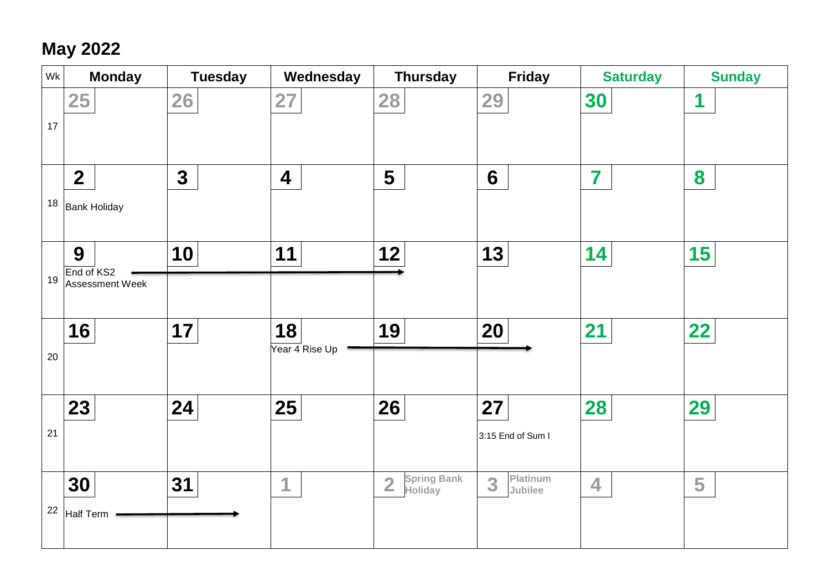## **May 2022**

| Wk | <b>Monday</b>                      | <b>Tuesday</b> | Wednesday               | <b>Thursday</b>           | <b>Friday</b>     | <b>Saturday</b>         | <b>Sunday</b> |
|----|------------------------------------|----------------|-------------------------|---------------------------|-------------------|-------------------------|---------------|
|    | 25                                 | 26             | 27                      | 28                        | 29                | 30                      | 1             |
| 17 |                                    |                |                         |                           |                   |                         |               |
|    | $\overline{2}$                     | $\mathbf{3}$   | $\overline{\mathbf{4}}$ | 5                         | $6\phantom{1}$    | 7                       | 8             |
| 18 | <b>Bank Holiday</b>                |                |                         |                           |                   |                         |               |
|    |                                    |                |                         |                           |                   |                         |               |
| 19 | 9<br>End of KS2<br>Assessment Week | 10             | 11                      | 12                        | 13                | 14                      | 15            |
|    |                                    |                |                         |                           |                   |                         |               |
|    | 16                                 | 17             | 18<br>Year 4 Rise Up    | 19                        | 20                | 21                      | 22            |
| 20 |                                    |                |                         |                           |                   |                         |               |
|    | 23                                 | 24             | 25                      | 26                        | 27                | 28                      | 29            |
| 21 |                                    |                |                         |                           | 3:15 End of Sum I |                         |               |
|    |                                    |                |                         | <b>Spring Bank</b>        | Platinum          |                         |               |
| 22 | 30                                 | 31             | 1                       | $\overline{2}$<br>Holiday | 3<br>Jubilee      | $\overline{\mathbf{4}}$ | 5             |
|    | <b>Half Term</b>                   |                |                         |                           |                   |                         |               |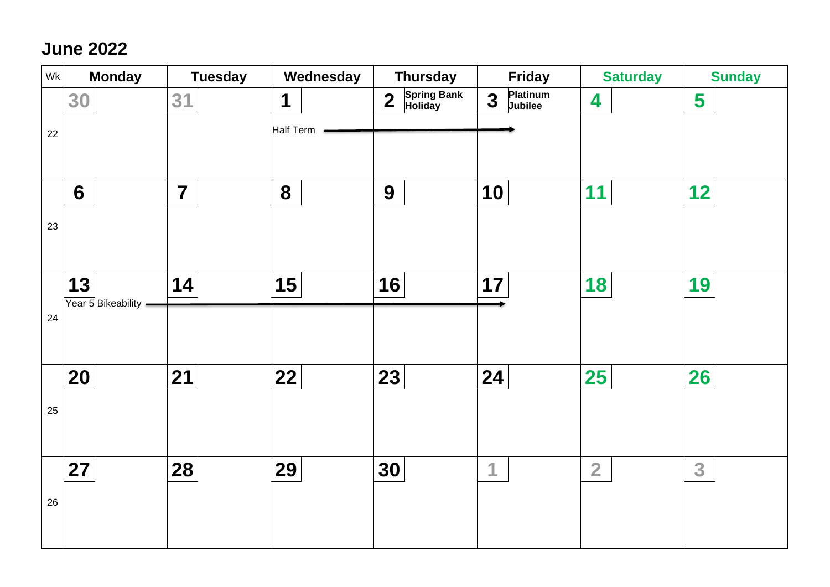### **June 2022**

| Wk | <b>Monday</b>        | <b>Tuesday</b> | Wednesday | <b>Thursday</b>                                          | <b>Friday</b>                                  | <b>Saturday</b> | <b>Sunday</b> |
|----|----------------------|----------------|-----------|----------------------------------------------------------|------------------------------------------------|-----------------|---------------|
|    | 30                   | 31             | 1         | <b>Spring Bank</b><br>Holiday<br>$\overline{\mathbf{2}}$ | Platinum<br>$\overline{\mathbf{3}}$<br>Jubilee | 4               | 5             |
| 22 |                      |                | Half Term |                                                          |                                                |                 |               |
|    |                      |                |           |                                                          |                                                |                 |               |
|    | $6\phantom{1}$       | $\overline{7}$ | 8         | 9                                                        | 10                                             | 11              | 12            |
| 23 |                      |                |           |                                                          |                                                |                 |               |
|    |                      |                |           |                                                          |                                                |                 |               |
|    | 13                   | 14             | 15        | 16                                                       | 17                                             | 18              | 19            |
| 24 | Year 5 Bikeability - |                |           |                                                          |                                                |                 |               |
|    |                      |                |           |                                                          |                                                |                 |               |
|    | 20                   | 21             | 22        | 23                                                       | 24                                             | <b>25</b>       | 26            |
| 25 |                      |                |           |                                                          |                                                |                 |               |
|    |                      |                |           |                                                          |                                                |                 |               |
|    | 27                   | 28             | 29        | 30                                                       | 1                                              | $\overline{2}$  | 3             |
| 26 |                      |                |           |                                                          |                                                |                 |               |
|    |                      |                |           |                                                          |                                                |                 |               |
|    |                      |                |           |                                                          |                                                |                 |               |